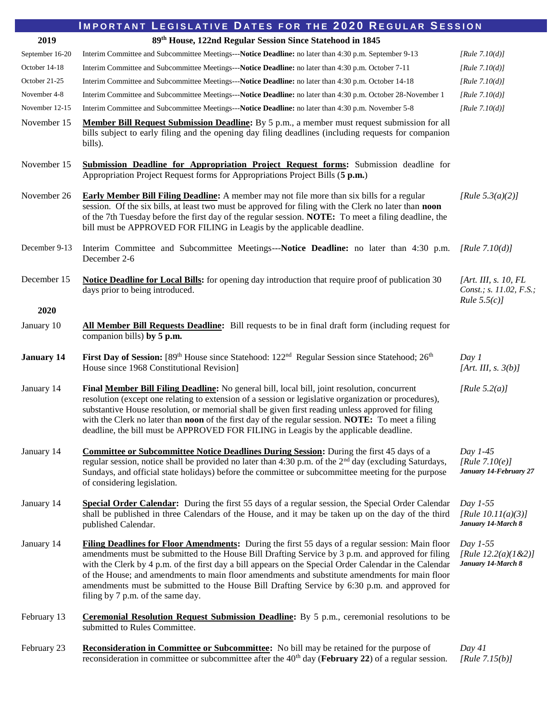| <b>IMPORTANT LEGISLATIVE DATES FOR THE 2020 REGULAR SESSION</b>               |                                                                                                                                                                                                                                                                                                                                                                                                                                                                                                                                                         |                                                                      |  |
|-------------------------------------------------------------------------------|---------------------------------------------------------------------------------------------------------------------------------------------------------------------------------------------------------------------------------------------------------------------------------------------------------------------------------------------------------------------------------------------------------------------------------------------------------------------------------------------------------------------------------------------------------|----------------------------------------------------------------------|--|
| 89 <sup>th</sup> House, 122nd Regular Session Since Statehood in 1845<br>2019 |                                                                                                                                                                                                                                                                                                                                                                                                                                                                                                                                                         |                                                                      |  |
| September 16-20                                                               | Interim Committee and Subcommittee Meetings---Notice Deadline: no later than 4:30 p.m. September 9-13                                                                                                                                                                                                                                                                                                                                                                                                                                                   | [Rule $7.10(d)$ ]                                                    |  |
| October 14-18                                                                 | Interim Committee and Subcommittee Meetings---Notice Deadline: no later than 4:30 p.m. October 7-11                                                                                                                                                                                                                                                                                                                                                                                                                                                     | [Rule $7.10(d)$ ]                                                    |  |
| October 21-25                                                                 | Interim Committee and Subcommittee Meetings---Notice Deadline: no later than 4:30 p.m. October 14-18                                                                                                                                                                                                                                                                                                                                                                                                                                                    | [Rule $7.10(d)$ ]                                                    |  |
| November 4-8                                                                  | Interim Committee and Subcommittee Meetings---Notice Deadline: no later than 4:30 p.m. October 28-November 1                                                                                                                                                                                                                                                                                                                                                                                                                                            | [Rule $7.10(d)$ ]                                                    |  |
| November 12-15                                                                | Interim Committee and Subcommittee Meetings---Notice Deadline: no later than 4:30 p.m. November 5-8                                                                                                                                                                                                                                                                                                                                                                                                                                                     | [ $Rule 7.10(d)$ ]                                                   |  |
| November 15                                                                   | Member Bill Request Submission Deadline: By 5 p.m., a member must request submission for all<br>bills subject to early filing and the opening day filing deadlines (including requests for companion<br>bills).                                                                                                                                                                                                                                                                                                                                         |                                                                      |  |
| November 15                                                                   | <b>Submission Deadline for Appropriation Project Request forms:</b> Submission deadline for<br>Appropriation Project Request forms for Appropriations Project Bills (5 p.m.)                                                                                                                                                                                                                                                                                                                                                                            |                                                                      |  |
| November 26                                                                   | <b>Early Member Bill Filing Deadline:</b> A member may not file more than six bills for a regular<br>session. Of the six bills, at least two must be approved for filing with the Clerk no later than noon<br>of the 7th Tuesday before the first day of the regular session. <b>NOTE:</b> To meet a filing deadline, the<br>bill must be APPROVED FOR FILING in Leagis by the applicable deadline.                                                                                                                                                     | [Rule $5.3(a)(2)$ ]                                                  |  |
| December 9-13                                                                 | Interim Committee and Subcommittee Meetings---Notice Deadline: no later than 4:30 p.m.<br>December 2-6                                                                                                                                                                                                                                                                                                                                                                                                                                                  | [Rule $7.10(d)$ ]                                                    |  |
| December 15                                                                   | <b>Notice Deadline for Local Bills:</b> for opening day introduction that require proof of publication 30<br>days prior to being introduced.                                                                                                                                                                                                                                                                                                                                                                                                            | [Art. III, s. 10, $FL$<br>Const.; s. 11.02, F.S.;<br>Rule $5.5(c)$ ] |  |
| 2020                                                                          |                                                                                                                                                                                                                                                                                                                                                                                                                                                                                                                                                         |                                                                      |  |
| January 10                                                                    | All Member Bill Requests Deadline: Bill requests to be in final draft form (including request for<br>companion bills) by 5 p.m.                                                                                                                                                                                                                                                                                                                                                                                                                         |                                                                      |  |
| <b>January 14</b>                                                             | First Day of Session: [89 <sup>th</sup> House since Statehood: 122 <sup>nd</sup> Regular Session since Statehood; 26 <sup>th</sup><br>House since 1968 Constitutional Revision]                                                                                                                                                                                                                                                                                                                                                                         | Day 1<br>[Art. III, s. $3(b)$ ]                                      |  |
| January 14                                                                    | Final Member Bill Filing Deadline: No general bill, local bill, joint resolution, concurrent<br>resolution (except one relating to extension of a session or legislative organization or procedures),<br>substantive House resolution, or memorial shall be given first reading unless approved for filing<br>with the Clerk no later than <b>noon</b> of the first day of the regular session. <b>NOTE:</b> To meet a filing<br>deadline, the bill must be APPROVED FOR FILING in Leagis by the applicable deadline.                                   | [Rule $5.2(a)$ ]                                                     |  |
| January 14                                                                    | <b>Committee or Subcommittee Notice Deadlines During Session:</b> During the first 45 days of a<br>regular session, notice shall be provided no later than 4:30 p.m. of the $2nd$ day (excluding Saturdays,<br>Sundays, and official state holidays) before the committee or subcommittee meeting for the purpose<br>of considering legislation.                                                                                                                                                                                                        | Day $1-45$<br>[Rule $7.10(e)$ ]<br>January 14-February 27            |  |
| January 14                                                                    | Special Order Calendar: During the first 55 days of a regular session, the Special Order Calendar<br>shall be published in three Calendars of the House, and it may be taken up on the day of the third<br>published Calendar.                                                                                                                                                                                                                                                                                                                          | Day 1-55<br>[Rule $10.11(a)(3)$ ]<br>January 14-March 8              |  |
| January 14                                                                    | Filing Deadlines for Floor Amendments: During the first 55 days of a regular session: Main floor<br>amendments must be submitted to the House Bill Drafting Service by 3 p.m. and approved for filing<br>with the Clerk by 4 p.m. of the first day a bill appears on the Special Order Calendar in the Calendar<br>of the House; and amendments to main floor amendments and substitute amendments for main floor<br>amendments must be submitted to the House Bill Drafting Service by 6:30 p.m. and approved for<br>filing by 7 p.m. of the same day. | Day $1-55$<br>[Rule $12.2(a)(1 & 2)$ ]<br>January 14-March 8         |  |
| February 13                                                                   | <b>Ceremonial Resolution Request Submission Deadline:</b> By 5 p.m., ceremonial resolutions to be<br>submitted to Rules Committee.                                                                                                                                                                                                                                                                                                                                                                                                                      |                                                                      |  |
| February 23                                                                   | <b>Reconsideration in Committee or Subcommittee:</b> No bill may be retained for the purpose of<br>reconsideration in committee or subcommittee after the 40 <sup>th</sup> day (February 22) of a regular session.                                                                                                                                                                                                                                                                                                                                      | Day 41<br>[Rule $7.15(b)$ ]                                          |  |